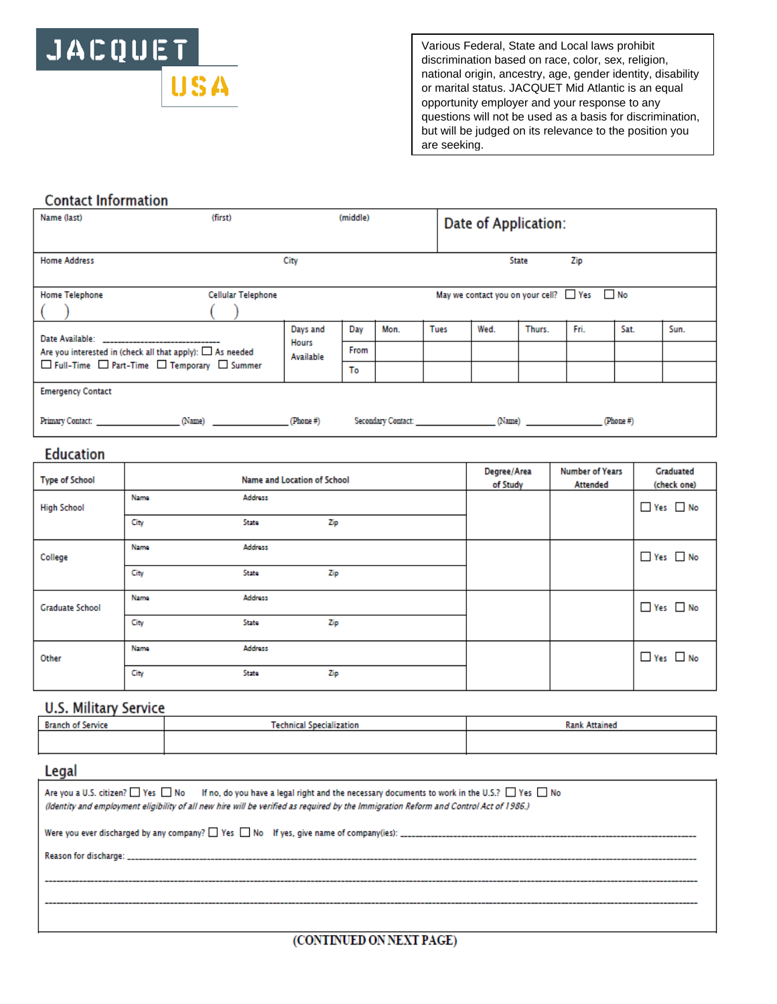

Various Federal, State and Local laws prohibit discrimination based on race, color, sex, religion, national origin, ancestry, age, gender identity, disability or marital status. JACQUET Mid Atlantic is an equal opportunity employer and your response to any questions will not be used as a basis for discrimination, but will be judged on its relevance to the position you are seeking.

## **Contact Information**

| Name (last)                                                                                                                                                                                                                   | (first)            | (middle)                  |      |                    | Date of Application: |                                      |        |      |           |      |
|-------------------------------------------------------------------------------------------------------------------------------------------------------------------------------------------------------------------------------|--------------------|---------------------------|------|--------------------|----------------------|--------------------------------------|--------|------|-----------|------|
| <b>Home Address</b>                                                                                                                                                                                                           |                    | City                      |      |                    |                      |                                      | State  | Zip  |           |      |
| <b>Home Telephone</b>                                                                                                                                                                                                         | Cellular Telephone |                           |      |                    |                      | May we contact you on your cell? Yes |        |      | No.       |      |
| Date Available: ________________________________                                                                                                                                                                              |                    | Days and                  | Day  | Mon.               | <b>Tues</b>          | Wed.                                 | Thurs. | Fri. | Sat.      | Sun. |
| Are you interested in (check all that apply): $\Box$ As needed<br>□ Full-Time □ Part-Time □ Temporary □ Summer                                                                                                                |                    | <b>Hours</b><br>Available | From |                    |                      |                                      |        |      |           |      |
|                                                                                                                                                                                                                               |                    |                           | To   |                    |                      |                                      |        |      |           |      |
| <b>Emergency Contact</b>                                                                                                                                                                                                      |                    |                           |      |                    |                      |                                      |        |      |           |      |
| Primary Contact: The Contract of the Contract of the Contract of the Contract of the Contract of the Contract of the Contract of the Contract of the Contract of the Contract of the Contract of the Contract of the Contract | (Name)             | (Phone#)                  |      | Secondary Contact: |                      |                                      | (Name) |      | (Phone #) |      |

## **Education**

| <b>Type of School</b>  |      | Name and Location of School |     | Degree/Area<br>of Study | <b>Number of Years</b><br><b>Attended</b> | Graduated<br>(check one) |
|------------------------|------|-----------------------------|-----|-------------------------|-------------------------------------------|--------------------------|
| <b>High School</b>     | Name | Address                     |     |                         |                                           | $\Box$ Yes $\Box$ No     |
|                        | City | State                       | Zip |                         |                                           |                          |
| College                | Name | Address                     |     |                         |                                           | Yes No                   |
|                        | City | State                       | Zip |                         |                                           |                          |
| <b>Graduate School</b> | Name | Address                     |     |                         |                                           | Yes No                   |
|                        | City | State                       | Zip |                         |                                           |                          |
| Other                  | Name | Address                     |     |                         |                                           | $\Box$ Yes $\Box$ No     |
|                        | City | State                       | Zip |                         |                                           |                          |

## **U.S. Military Service**

| <b>Branch of Service</b> | <b>Technical Specialization</b> | <b>Rank Attained</b> |  |  |
|--------------------------|---------------------------------|----------------------|--|--|
|                          |                                 |                      |  |  |

### Legal

| Are you a U.S. citizen? $\Box$ Yes $\Box$ No If no, do you have a legal right and the necessary documents to work in the U.S.? $\Box$ Yes $\Box$ No<br>(Identity and employment eligibility of all new hire will be verified as required by the Immigration Reform and Control Act of 1986.) |
|----------------------------------------------------------------------------------------------------------------------------------------------------------------------------------------------------------------------------------------------------------------------------------------------|
|                                                                                                                                                                                                                                                                                              |
|                                                                                                                                                                                                                                                                                              |
|                                                                                                                                                                                                                                                                                              |
|                                                                                                                                                                                                                                                                                              |
|                                                                                                                                                                                                                                                                                              |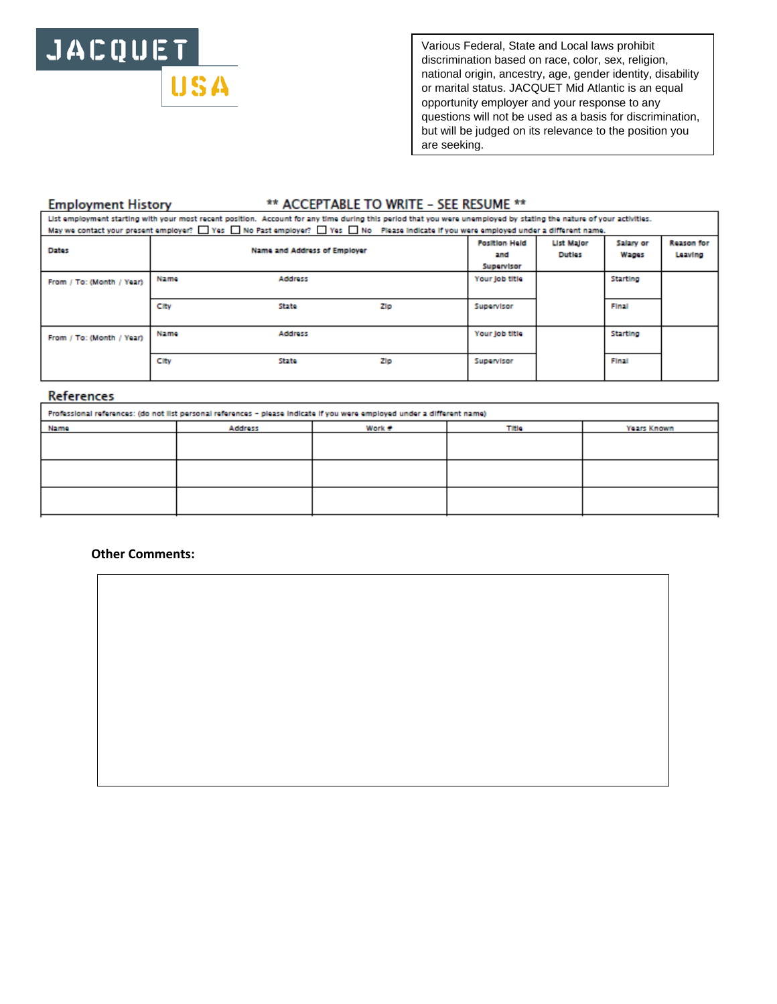# JACQUET **USA**

Various Federal, State and Local laws prohibit discrimination based on race, color, sex, religion, national origin, ancestry, age, gender identity, disability or marital status. JACQUET Mid Atlantic is an equal opportunity employer and your response to any questions will not be used as a basis for discrimination, but will be judged on its relevance to the position you are seeking.

### **Employment History**

## \*\* ACCEPTABLE TO WRITE - SEE RESUME \*\*

| List employment starting with your most recent position. Account for any time during this period that you were unemployed by stating the nature of your activities.<br>May we contact your present employer? No Past C No Past employer? No Please indicate if you were employed under a different name. |      |                              |     |                |                                    |                    |                              |  |
|----------------------------------------------------------------------------------------------------------------------------------------------------------------------------------------------------------------------------------------------------------------------------------------------------------|------|------------------------------|-----|----------------|------------------------------------|--------------------|------------------------------|--|
| <b>Dates</b>                                                                                                                                                                                                                                                                                             |      | Name and Address of Employer |     |                | <b>List Malor</b><br><b>Duties</b> | Salary or<br>Wages | <b>Reason for</b><br>Leaving |  |
| From / To: (Month / Year)                                                                                                                                                                                                                                                                                | Name | Address                      |     | Your job title |                                    | Starting           |                              |  |
|                                                                                                                                                                                                                                                                                                          | City | State                        | Zip | Supervisor     |                                    | Final              |                              |  |
| From / To: (Month / Year)                                                                                                                                                                                                                                                                                | Name | Address                      |     | Your job title |                                    | <b>Starting</b>    |                              |  |
|                                                                                                                                                                                                                                                                                                          | City | State                        | Zip | Supervisor     |                                    | Final              |                              |  |

#### References

| Professional references: (do not list personal references - please indicate if you were employed under a different name) |         |        |       |             |  |  |  |
|--------------------------------------------------------------------------------------------------------------------------|---------|--------|-------|-------------|--|--|--|
| Name                                                                                                                     | Address | Work # | Title | Years Known |  |  |  |
|                                                                                                                          |         |        |       |             |  |  |  |
|                                                                                                                          |         |        |       |             |  |  |  |
|                                                                                                                          |         |        |       |             |  |  |  |
|                                                                                                                          |         |        |       |             |  |  |  |
|                                                                                                                          |         |        |       |             |  |  |  |
|                                                                                                                          |         |        |       |             |  |  |  |

### **Other Comments:**